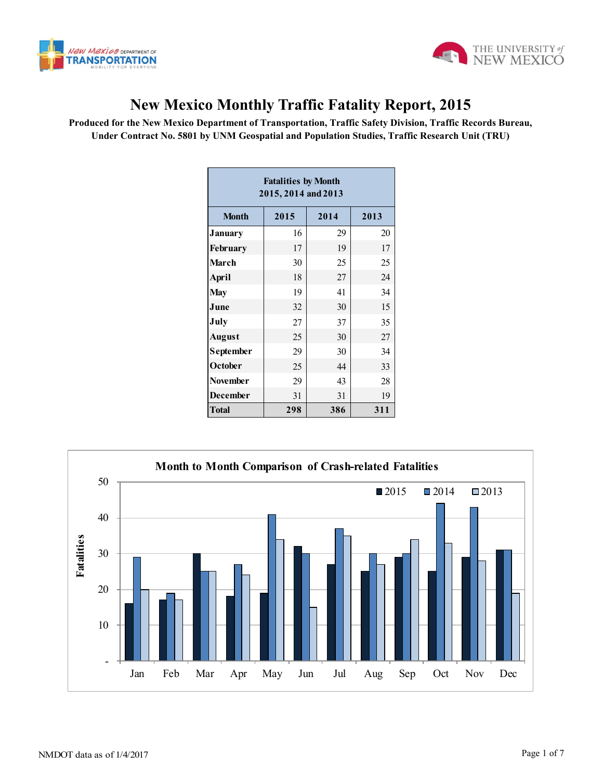



## **New Mexico Monthly Traffic Fatality Report, 2015**

**Produced for the New Mexico Department of Transportation, Traffic Safety Division, Traffic Records Bureau, Under Contract No. 5801 by UNM Geospatial and Population Studies, Traffic Research Unit (TRU)**

| <b>Fatalities by Month</b><br>2015, 2014 and 2013 |      |      |      |  |  |  |  |  |  |
|---------------------------------------------------|------|------|------|--|--|--|--|--|--|
| <b>Month</b>                                      | 2015 | 2014 | 2013 |  |  |  |  |  |  |
| January                                           | 16   | 29   | 20   |  |  |  |  |  |  |
| <b>February</b>                                   | 17   | 19   | 17   |  |  |  |  |  |  |
| <b>March</b>                                      | 30   | 25   | 25   |  |  |  |  |  |  |
| <b>April</b>                                      | 18   | 27   | 24   |  |  |  |  |  |  |
| <b>May</b>                                        | 19   | 41   | 34   |  |  |  |  |  |  |
| June                                              | 32   | 30   | 15   |  |  |  |  |  |  |
| July                                              | 27   | 37   | 35   |  |  |  |  |  |  |
| <b>August</b>                                     | 25   | 30   | 27   |  |  |  |  |  |  |
| September                                         | 29   | 30   | 34   |  |  |  |  |  |  |
| October                                           | 25   | 44   | 33   |  |  |  |  |  |  |
| <b>November</b>                                   | 29   | 43   | 28   |  |  |  |  |  |  |
| <b>December</b>                                   | 31   | 31   | 19   |  |  |  |  |  |  |
| <b>Total</b>                                      | 298  | 386  | 311  |  |  |  |  |  |  |

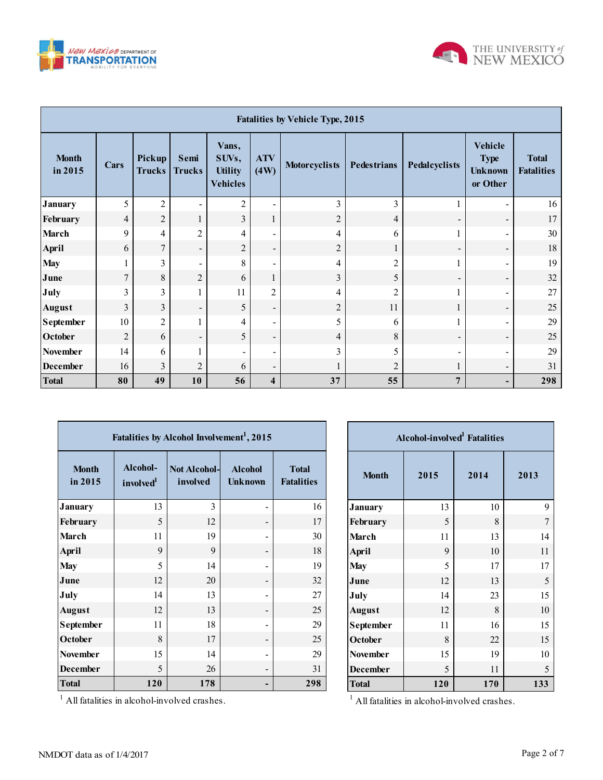



| <b>Fatalities by Vehicle Type, 2015</b> |                |                         |                          |                                                     |                          |                      |                    |                          |                                                             |                                   |
|-----------------------------------------|----------------|-------------------------|--------------------------|-----------------------------------------------------|--------------------------|----------------------|--------------------|--------------------------|-------------------------------------------------------------|-----------------------------------|
| <b>Month</b><br>in 2015                 | Cars           | Pickup<br><b>Trucks</b> | Semi<br><b>Trucks</b>    | Vans,<br>SUVs,<br><b>Utility</b><br><b>Vehicles</b> | <b>ATV</b><br>(4W)       | <b>Motorcyclists</b> | <b>Pedestrians</b> | Pedalcyclists            | <b>Vehicle</b><br><b>Type</b><br><b>Unknown</b><br>or Other | <b>Total</b><br><b>Fatalities</b> |
| <b>January</b>                          | 5              | $\overline{2}$          | $\overline{\phantom{a}}$ | $\overline{2}$                                      | $\blacksquare$           | 3                    | 3                  |                          |                                                             | 16                                |
| February                                | 4              | $\overline{c}$          | $\mathbf{1}$             | $\overline{3}$                                      | $\mathbf{1}$             | $\overline{c}$       | $\overline{4}$     | $\overline{\phantom{a}}$ | $\overline{\phantom{a}}$                                    | 17                                |
| <b>March</b>                            | 9              | 4                       | $\overline{2}$           | 4                                                   | $\blacksquare$           | 4                    | 6                  | 1                        |                                                             | 30                                |
| <b>April</b>                            | 6              | $\overline{7}$          | $\blacksquare$           | $\overline{2}$                                      | $\overline{\phantom{a}}$ | $\overline{2}$       | 1                  | $\overline{\phantom{a}}$ | $\overline{\phantom{a}}$                                    | 18                                |
| <b>May</b>                              | 1              | 3                       | $\overline{\phantom{a}}$ | 8                                                   | $\overline{\phantom{a}}$ | 4                    | $\overline{c}$     |                          |                                                             | 19                                |
| June                                    | $\overline{7}$ | 8                       | $\overline{2}$           | 6                                                   | 1                        | 3                    | 5                  | $\overline{\phantom{a}}$ | $\overline{\phantom{a}}$                                    | 32                                |
| July                                    | 3              | 3                       | 1                        | 11                                                  | $\overline{2}$           | 4                    | $\overline{2}$     | 1                        |                                                             | 27                                |
| <b>August</b>                           | 3              | 3                       | $\overline{\phantom{a}}$ | 5                                                   | $\overline{\phantom{a}}$ | $\overline{c}$       | 11                 | $\mathbf{1}$             | $\overline{\phantom{a}}$                                    | 25                                |
| <b>September</b>                        | 10             | $\overline{2}$          | 1                        | 4                                                   | $\blacksquare$           | 5                    | 6                  | 1                        | -                                                           | 29                                |
| October                                 | $\overline{2}$ | 6                       | $\overline{\phantom{a}}$ | 5                                                   | $\overline{\phantom{a}}$ | 4                    | 8                  | $\overline{\phantom{a}}$ | $\overline{\phantom{a}}$                                    | 25                                |
| <b>November</b>                         | 14             | 6                       | 1                        |                                                     | -                        | 3                    | 5                  | $\overline{\phantom{a}}$ |                                                             | 29                                |
| <b>December</b>                         | 16             | 3                       | $\overline{2}$           | 6                                                   | $\blacksquare$           |                      | $\overline{2}$     | 1                        | $\blacksquare$                                              | 31                                |
| <b>Total</b>                            | 80             | 49                      | 10                       | 56                                                  | 4                        | 37                   | 55                 | $\overline{7}$           | -                                                           | 298                               |

| Fatalities by Alcohol Involvement <sup>1</sup> , 2015 |                                   |                                 |                                  |                                   |  |  |  |  |  |  |
|-------------------------------------------------------|-----------------------------------|---------------------------------|----------------------------------|-----------------------------------|--|--|--|--|--|--|
| <b>Month</b><br>in 2015                               | Alcohol-<br>involved <sup>1</sup> | <b>Not Alcohol-</b><br>involved | <b>Alcohol</b><br><b>Unknown</b> | <b>Total</b><br><b>Fatalities</b> |  |  |  |  |  |  |
| <b>January</b>                                        | 13                                | 3                               |                                  | 16                                |  |  |  |  |  |  |
| February                                              | 5                                 | 12                              |                                  | 17                                |  |  |  |  |  |  |
| <b>March</b>                                          | 11                                | 19                              |                                  | 30                                |  |  |  |  |  |  |
| April                                                 | 9                                 | 9                               |                                  | 18                                |  |  |  |  |  |  |
| <b>May</b>                                            | 5                                 | 14                              |                                  | 19                                |  |  |  |  |  |  |
| June                                                  | 12                                | 20                              |                                  | 32                                |  |  |  |  |  |  |
| July                                                  | 14                                | 13                              |                                  | 27                                |  |  |  |  |  |  |
| <b>August</b>                                         | 12                                | 13                              |                                  | 25                                |  |  |  |  |  |  |
| September                                             | 11                                | 18                              |                                  | 29                                |  |  |  |  |  |  |
| October                                               | 8                                 | 17                              |                                  | 25                                |  |  |  |  |  |  |
| <b>November</b>                                       | 15                                | 14                              |                                  | 29                                |  |  |  |  |  |  |
| <b>December</b>                                       | 5                                 | 26                              |                                  | 31                                |  |  |  |  |  |  |
| <b>Total</b>                                          | 120                               | 178                             |                                  | 298                               |  |  |  |  |  |  |

| <b>Alcohol-involved</b> Fatalities |      |      |      |  |  |  |  |  |  |
|------------------------------------|------|------|------|--|--|--|--|--|--|
| <b>Month</b>                       | 2015 | 2014 | 2013 |  |  |  |  |  |  |
| <b>January</b>                     | 13   | 10   | 9    |  |  |  |  |  |  |
| February                           | 5    | 8    | 7    |  |  |  |  |  |  |
| March                              | 11   | 13   | 14   |  |  |  |  |  |  |
| <b>April</b>                       | 9    | 10   | 11   |  |  |  |  |  |  |
| <b>May</b>                         | 5    | 17   | 17   |  |  |  |  |  |  |
| June                               | 12   | 13   | 5    |  |  |  |  |  |  |
| July                               | 14   | 23   | 15   |  |  |  |  |  |  |
| <b>August</b>                      | 12   | 8    | 10   |  |  |  |  |  |  |
| September                          | 11   | 16   | 15   |  |  |  |  |  |  |
| October                            | 8    | 22   | 15   |  |  |  |  |  |  |
| <b>November</b>                    | 15   | 19   | 10   |  |  |  |  |  |  |
| <b>December</b>                    | 5    | 11   | 5    |  |  |  |  |  |  |
| <b>Total</b>                       | 120  | 170  | 133  |  |  |  |  |  |  |

All fatalities in alcohol-involved crashes.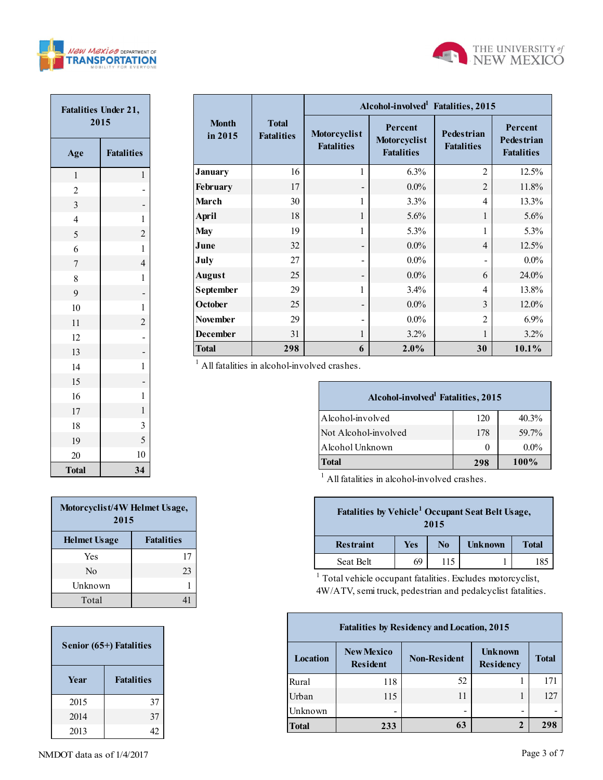



| <b>Fatalities Under 21,</b><br>2015 |                         |  |  |  |  |  |
|-------------------------------------|-------------------------|--|--|--|--|--|
| Age                                 | <b>Fatalities</b>       |  |  |  |  |  |
| $\mathbf{1}$                        | $\mathbf{1}$            |  |  |  |  |  |
| $\overline{c}$                      |                         |  |  |  |  |  |
| $\overline{\mathbf{3}}$             |                         |  |  |  |  |  |
| $\overline{4}$                      | $\mathbf{1}$            |  |  |  |  |  |
| 5                                   | $\overline{c}$          |  |  |  |  |  |
| 6                                   | $\mathbf{1}$            |  |  |  |  |  |
| $\overline{7}$                      | $\overline{4}$          |  |  |  |  |  |
| 8                                   | $\mathbf{1}$            |  |  |  |  |  |
| 9                                   |                         |  |  |  |  |  |
| 10                                  | $\mathbf{1}$            |  |  |  |  |  |
| 11                                  | $\overline{\mathbf{c}}$ |  |  |  |  |  |
| 12                                  |                         |  |  |  |  |  |
| 13                                  |                         |  |  |  |  |  |
| 14                                  | $\mathbf{1}$            |  |  |  |  |  |
| 15                                  |                         |  |  |  |  |  |
| 16                                  | $\mathbf{1}$            |  |  |  |  |  |
| 17                                  | $\mathbf 1$             |  |  |  |  |  |
| 18                                  | 3                       |  |  |  |  |  |
| 19                                  | 5                       |  |  |  |  |  |
| 20                                  | 10                      |  |  |  |  |  |
| <b>Total</b>                        | 34                      |  |  |  |  |  |

|                         |                                   | Alcohol-involved <sup>1</sup> Fatalities, 2015 |                                              |                                        |                                                   |  |  |  |  |
|-------------------------|-----------------------------------|------------------------------------------------|----------------------------------------------|----------------------------------------|---------------------------------------------------|--|--|--|--|
| <b>Month</b><br>in 2015 | <b>Total</b><br><b>Fatalities</b> | Motorcyclist<br><b>Fatalities</b>              | Percent<br>Motorcyclist<br><b>Fatalities</b> | <b>Pedestrian</b><br><b>Fatalities</b> | Percent<br><b>Pedestrian</b><br><b>Fatalities</b> |  |  |  |  |
| <b>January</b>          | 16                                | 1                                              | 6.3%                                         | $\overline{2}$                         | 12.5%                                             |  |  |  |  |
| February                | 17                                |                                                | $0.0\%$                                      | $\overline{2}$                         | 11.8%                                             |  |  |  |  |
| March                   | 30                                | 1                                              | 3.3%                                         | $\overline{4}$                         | 13.3%                                             |  |  |  |  |
| <b>April</b>            | 18                                | 1                                              | 5.6%                                         | 1                                      | 5.6%                                              |  |  |  |  |
| <b>May</b>              | 19                                | 1                                              | 5.3%                                         | 1                                      | 5.3%                                              |  |  |  |  |
| June                    | 32                                |                                                | $0.0\%$                                      | $\overline{4}$                         | 12.5%                                             |  |  |  |  |
| July                    | 27                                |                                                | $0.0\%$                                      |                                        | $0.0\%$                                           |  |  |  |  |
| <b>August</b>           | 25                                |                                                | $0.0\%$                                      | 6                                      | 24.0%                                             |  |  |  |  |
| September               | 29                                | 1                                              | 3.4%                                         | $\overline{4}$                         | 13.8%                                             |  |  |  |  |
| October                 | 25                                |                                                | $0.0\%$                                      | $\mathcal{E}$                          | $12.0\%$                                          |  |  |  |  |
| November                | 29                                |                                                | $0.0\%$                                      | $\overline{2}$                         | $6.9\%$                                           |  |  |  |  |
| <b>December</b>         | 31                                | 1                                              | $3.2\%$                                      |                                        | 3.2%                                              |  |  |  |  |
| <b>Total</b>            | 298                               | 6                                              | 2.0%                                         | 30                                     | $10.1\%$                                          |  |  |  |  |

| Alcohol-involved <sup>1</sup> Fatalities, 2015 |     |          |  |  |  |  |  |  |  |
|------------------------------------------------|-----|----------|--|--|--|--|--|--|--|
| Alcohol-involved                               | 120 | $40.3\%$ |  |  |  |  |  |  |  |
| Not Alcohol-involved                           | 178 | 59.7%    |  |  |  |  |  |  |  |
| Alcohol Unknown                                | 0   | $0.0\%$  |  |  |  |  |  |  |  |
| Total                                          | 298 | $100\%$  |  |  |  |  |  |  |  |

<sup>1</sup> All fatalities in alcohol-involved crashes.

| Fatalities by Vehicle <sup>1</sup> Occupant Seat Belt Usage,<br>2015 |     |                |                |              |  |  |  |
|----------------------------------------------------------------------|-----|----------------|----------------|--------------|--|--|--|
| <b>Restraint</b>                                                     | Yes | N <sub>0</sub> | <b>Unknown</b> | <b>Total</b> |  |  |  |
| Seat Belt                                                            | 69  | 115            |                | 185          |  |  |  |

<sup>1</sup> Total vehicle occupant fatalities. Excludes motorcyclist, 4W/ATV, semi truck, pedestrian and pedalcyclist fatalities.

| <b>Fatalities by Residency and Location, 2015</b> |                                      |                     |                             |              |  |  |  |  |  |
|---------------------------------------------------|--------------------------------------|---------------------|-----------------------------|--------------|--|--|--|--|--|
| Location                                          | <b>New Mexico</b><br><b>Resident</b> | <b>Non-Resident</b> | <b>Unknown</b><br>Residency | <b>Total</b> |  |  |  |  |  |
| Rural                                             | 118                                  | 52                  |                             | 171          |  |  |  |  |  |
| Urban                                             | 115                                  | 11                  |                             | 127          |  |  |  |  |  |
| Unknown                                           |                                      | -                   | -                           |              |  |  |  |  |  |
| <b>Total</b>                                      | 233                                  | 63                  | $\mathbf{2}$                | 298          |  |  |  |  |  |

| Motorcyclist/4W Helmet Usage,<br>2015 |                   |  |  |  |  |  |
|---------------------------------------|-------------------|--|--|--|--|--|
| <b>Helmet Usage</b>                   | <b>Fatalities</b> |  |  |  |  |  |
| Yes                                   | 17                |  |  |  |  |  |
| Nο                                    | 23                |  |  |  |  |  |
| Unknown                               |                   |  |  |  |  |  |
| Total                                 |                   |  |  |  |  |  |

| Senior (65+) Fatalities |                   |  |  |  |  |  |
|-------------------------|-------------------|--|--|--|--|--|
| Year                    | <b>Fatalities</b> |  |  |  |  |  |
| 2015                    | 37                |  |  |  |  |  |
| 2014                    | 37                |  |  |  |  |  |
| 2013                    |                   |  |  |  |  |  |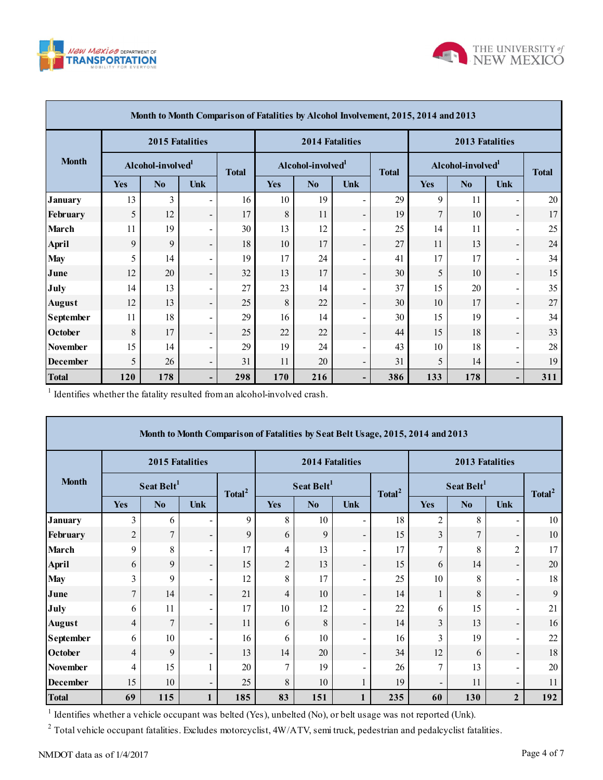



|                 | Month to Month Comparison of Fatalities by Alcohol Involvement, 2015, 2014 and 2013 |                               |                              |              |            |                               |                          |              |                               |                        |                          |              |
|-----------------|-------------------------------------------------------------------------------------|-------------------------------|------------------------------|--------------|------------|-------------------------------|--------------------------|--------------|-------------------------------|------------------------|--------------------------|--------------|
|                 |                                                                                     | 2015 Fatalities               |                              |              |            | <b>2014 Fatalities</b>        |                          |              |                               | <b>2013 Fatalities</b> |                          |              |
| <b>Month</b>    |                                                                                     | Alcohol-involved <sup>1</sup> |                              | <b>Total</b> |            | Alcohol-involved <sup>1</sup> |                          | <b>Total</b> | Alcohol-involved <sup>1</sup> |                        |                          | <b>Total</b> |
|                 | Yes                                                                                 | N <sub>0</sub>                | Unk                          |              | <b>Yes</b> | N <sub>0</sub>                | Unk                      |              | <b>Yes</b>                    | No                     | Unk                      |              |
| <b>January</b>  | 13                                                                                  | 3                             | $\blacksquare$               | 16           | 10         | 19                            | $\blacksquare$           | 29           | 9                             | 11                     | $\blacksquare$           | 20           |
| February        | 5                                                                                   | 12                            | $\overline{\phantom{a}}$     | 17           | 8          | 11                            | $\overline{\phantom{0}}$ | 19           | $\overline{7}$                | 10                     | $\overline{\phantom{a}}$ | 17           |
| March           | 11                                                                                  | 19                            | $\blacksquare$               | 30           | 13         | 12                            | $\blacksquare$           | 25           | 14                            | 11                     | $\blacksquare$           | 25           |
| <b>April</b>    | 9                                                                                   | 9                             | $\overline{\phantom{0}}$     | 18           | 10         | 17                            | $\overline{\phantom{0}}$ | 27           | 11                            | 13                     | $\overline{\phantom{a}}$ | 24           |
| <b>May</b>      | 5                                                                                   | 14                            | $\overline{\phantom{0}}$     | 19           | 17         | 24                            | $\blacksquare$           | 41           | 17                            | 17                     | $\blacksquare$           | 34           |
| June            | 12                                                                                  | 20                            | -                            | 32           | 13         | 17                            | $\overline{\phantom{0}}$ | 30           | 5                             | 10                     | $\overline{\phantom{a}}$ | 15           |
| July            | 14                                                                                  | 13                            | $\qquad \qquad \blacksquare$ | 27           | 23         | 14                            | $\blacksquare$           | 37           | 15                            | 20                     | $\overline{\phantom{a}}$ | 35           |
| <b>August</b>   | 12                                                                                  | 13                            | $\overline{\phantom{a}}$     | 25           | 8          | 22                            | $\overline{\phantom{0}}$ | 30           | 10                            | 17                     | $\overline{\phantom{a}}$ | 27           |
| September       | 11                                                                                  | 18                            | $\overline{\phantom{a}}$     | 29           | 16         | 14                            | $\overline{\phantom{0}}$ | 30           | 15                            | 19                     | $\blacksquare$           | 34           |
| October         | 8                                                                                   | 17                            | -                            | 25           | 22         | 22                            | $\overline{\phantom{0}}$ | 44           | 15                            | 18                     | $\overline{\phantom{a}}$ | 33           |
| <b>November</b> | 15                                                                                  | 14                            | $\overline{\phantom{0}}$     | 29           | 19         | 24                            | $\overline{\phantom{0}}$ | 43           | 10                            | 18                     | $\overline{\phantom{a}}$ | 28           |
| <b>December</b> | 5                                                                                   | 26                            | $\overline{\phantom{0}}$     | 31           | 11         | 20                            | $\overline{\phantom{0}}$ | 31           | 5                             | 14                     | $\overline{\phantom{a}}$ | 19           |
| <b>Total</b>    | 120                                                                                 | 178                           | -                            | 298          | 170        | 216                           | ۰.                       | 386          | 133                           | 178                    | $\overline{\phantom{a}}$ | 311          |

<sup>1</sup> Identifies whether the fatality resulted from an alcohol-involved crash.

|                                                                                                              | Month to Month Comparison of Fatalities by Seat Belt Usage, 2015, 2014 and 2013 |                        |                              |                    |                |                        |                          |                    |                          |                        |                          |                    |  |
|--------------------------------------------------------------------------------------------------------------|---------------------------------------------------------------------------------|------------------------|------------------------------|--------------------|----------------|------------------------|--------------------------|--------------------|--------------------------|------------------------|--------------------------|--------------------|--|
| <b>Month</b>                                                                                                 |                                                                                 | 2015 Fatalities        |                              |                    |                | 2014 Fatalities        |                          |                    | 2013 Fatalities          |                        |                          |                    |  |
|                                                                                                              |                                                                                 | Seat Belt <sup>1</sup> |                              | Total <sup>2</sup> |                | Seat Belt <sup>1</sup> |                          | Total <sup>2</sup> |                          | Seat Belt <sup>1</sup> |                          | Total <sup>2</sup> |  |
|                                                                                                              | Yes                                                                             | N <sub>0</sub>         | <b>Unk</b>                   |                    | Yes            | No                     | <b>Unk</b>               |                    | <b>Yes</b>               | No                     | <b>Unk</b>               |                    |  |
| <b>January</b>                                                                                               | 3                                                                               | 6                      |                              | 9                  | 8              | 10                     | $\overline{\phantom{a}}$ | 18                 | $\overline{c}$           | 8                      | $\overline{\phantom{a}}$ | 10                 |  |
| February                                                                                                     | $\overline{2}$                                                                  | $\overline{7}$         | $\qquad \qquad \blacksquare$ | 9                  | 6              | 9                      | $\overline{\phantom{a}}$ | 15                 | 3                        | $\overline{7}$         | $\overline{\phantom{a}}$ | 10                 |  |
| March                                                                                                        | 9                                                                               | 8                      | $\overline{\phantom{a}}$     | 17                 | 4              | 13                     | $\blacksquare$           | 17                 | 7                        | 8                      | $\overline{2}$           | 17                 |  |
| April                                                                                                        | 6                                                                               | 9                      | $\overline{\phantom{a}}$     | 15                 | $\overline{2}$ | 13                     | $\overline{\phantom{a}}$ | 15                 | 6                        | 14                     | $\blacksquare$           | 20                 |  |
| <b>May</b>                                                                                                   | 3                                                                               | 9                      | $\blacksquare$               | 12                 | 8              | 17                     | $\overline{\phantom{a}}$ | 25                 | 10                       | 8                      | $\blacksquare$           | 18                 |  |
| June                                                                                                         | $\overline{7}$                                                                  | 14                     | $\overline{\phantom{a}}$     | 21                 | $\overline{4}$ | 10                     | $\overline{\phantom{a}}$ | 14                 |                          | 8                      | $\overline{\phantom{a}}$ | 9                  |  |
| July                                                                                                         | 6                                                                               | 11                     | $\blacksquare$               | 17                 | 10             | 12                     | $\blacksquare$           | 22                 | 6                        | 15                     | $\overline{\phantom{a}}$ | 21                 |  |
| <b>August</b>                                                                                                | $\overline{4}$                                                                  | $\overline{7}$         | -                            | 11                 | 6              | 8                      | $\overline{\phantom{a}}$ | 14                 | 3                        | 13                     | $\overline{\phantom{a}}$ | 16                 |  |
| <b>September</b>                                                                                             | 6                                                                               | 10                     | $\blacksquare$               | 16                 | 6              | 10                     | $\blacksquare$           | 16                 | 3                        | 19                     | $\overline{\phantom{a}}$ | 22                 |  |
| October                                                                                                      | $\overline{4}$                                                                  | 9                      |                              | 13                 | 14             | 20                     | $\overline{\phantom{a}}$ | 34                 | 12                       | 6                      | $\overline{\phantom{a}}$ | 18                 |  |
| <b>November</b>                                                                                              | 4                                                                               | 15                     |                              | 20                 | 7              | 19                     | $\overline{\phantom{a}}$ | 26                 | 7                        | 13                     | $\blacksquare$           | 20                 |  |
| <b>December</b>                                                                                              | 15                                                                              | 10                     | $\overline{\phantom{a}}$     | 25                 | 8              | 10                     | 1                        | 19                 | $\overline{\phantom{0}}$ | 11                     | $\overline{\phantom{a}}$ | 11                 |  |
| <b>Total</b>                                                                                                 | 69                                                                              | 115                    |                              | 185                | 83             | 151                    |                          | 235                | 60                       | 130                    | $\overline{2}$           | 192                |  |
| Identifies whether a vehicle occupant was belted (Yes), unbelted (No), or belt usage was not reported (Unk). |                                                                                 |                        |                              |                    |                |                        |                          |                    |                          |                        |                          |                    |  |

<sup>2</sup> Total vehicle occupant fatalities. Excludes motorcyclist,  $4W/ATV$ , semi truck, pedestrian and pedalcyclist fatalities.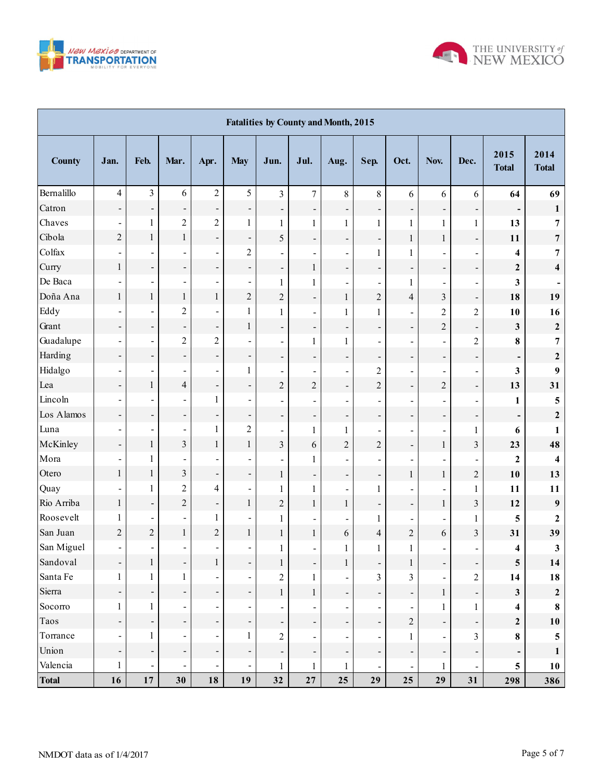



| <b>Fatalities by County and Month, 2015</b> |                          |                              |                          |                          |                          |                          |                              |                              |                              |                              |                          |                              |                              |                         |
|---------------------------------------------|--------------------------|------------------------------|--------------------------|--------------------------|--------------------------|--------------------------|------------------------------|------------------------------|------------------------------|------------------------------|--------------------------|------------------------------|------------------------------|-------------------------|
| <b>County</b>                               | Jan.                     | Feb.                         | Mar.                     | Apr.                     | <b>May</b>               | Jun.                     | Jul.                         | Aug.                         | Sep.                         | Oct.                         | Nov.                     | Dec.                         | 2015<br><b>Total</b>         | 2014<br><b>Total</b>    |
| Bernalillo                                  | $\overline{4}$           | $\overline{3}$               | 6                        | $\overline{2}$           | 5                        | $\overline{3}$           | $\overline{7}$               | 8                            | $8\,$                        | 6                            | 6                        | 6                            | 64                           | 69                      |
| Catron                                      | $\overline{\phantom{a}}$ | $\overline{\phantom{0}}$     | $\overline{\phantom{0}}$ | $\overline{\phantom{0}}$ | $\overline{\phantom{a}}$ | $\overline{\phantom{0}}$ | $\overline{\phantom{0}}$     | $\qquad \qquad \blacksquare$ | $\qquad \qquad \blacksquare$ | -                            | ÷,                       | $\frac{1}{\sqrt{2}}$         | $\qquad \qquad \blacksquare$ | $\mathbf{1}$            |
| Chaves                                      | $\overline{\phantom{a}}$ | $\mathbf{1}$                 | $\overline{c}$           | $\overline{c}$           | $\mathbf{1}$             | 1                        | $\mathbf{1}$                 | $\mathbf{1}$                 | $\mathbf{1}$                 | $\mathbf{1}$                 | $\mathbf{1}$             | $\mathbf{1}$                 | 13                           | $\overline{7}$          |
| Cibola                                      | $\overline{2}$           | $\,1$                        | $\mathbf{1}$             | -                        | $\overline{\phantom{a}}$ | 5                        | $\overline{\phantom{0}}$     | $\overline{\phantom{a}}$     | $\overline{\phantom{a}}$     | $\mathbf{1}$                 | $\mathbf{1}$             | $\overline{\phantom{0}}$     | 11                           | $\overline{7}$          |
| Colfax                                      | $\overline{\phantom{a}}$ | $\blacksquare$               | $\overline{\phantom{0}}$ | $\blacksquare$           | $\overline{c}$           | $\overline{\phantom{0}}$ | ÷,                           | $\blacksquare$               | $\mathbf{1}$                 | $\mathbf{1}$                 |                          | $\blacksquare$               | 4                            | $\overline{7}$          |
| Curry                                       | $\mathbf{1}$             | $\qquad \qquad \blacksquare$ | $\overline{\phantom{0}}$ | $\overline{\phantom{0}}$ | $\overline{\phantom{0}}$ | $\overline{\phantom{0}}$ | $\,1$                        | $\overline{\phantom{a}}$     | $\overline{\phantom{a}}$     | -                            | -                        | $\overline{\phantom{a}}$     | $\mathbf{2}$                 | $\overline{\mathbf{4}}$ |
| De Baca                                     | $\blacksquare$           | $\blacksquare$               | $\blacksquare$           | $\overline{\phantom{0}}$ | $\blacksquare$           | 1                        | $\mathbf{1}$                 | $\blacksquare$               | $\blacksquare$               | $\mathbf{1}$                 |                          | $\overline{\phantom{a}}$     | 3                            |                         |
| Doña Ana                                    | $\mathbf{1}$             | $\mathbf{1}$                 | $\mathbf{1}$             | $\mathbf{1}$             | $\overline{c}$           | $\overline{c}$           | $\blacksquare$               | $\mathbf{1}$                 | $\overline{c}$               | $\overline{4}$               | $\overline{\mathbf{3}}$  | $\qquad \qquad \blacksquare$ | 18                           | 19                      |
| Eddy                                        | $\blacksquare$           | $\blacksquare$               | $\overline{c}$           |                          | 1                        | 1                        | $\overline{\phantom{0}}$     | $\mathbf 1$                  | $\mathbf{1}$                 | $\overline{a}$               | $\overline{c}$           | $\overline{c}$               | 10                           | 16                      |
| Grant                                       | $\overline{\phantom{a}}$ | $\overline{\phantom{a}}$     | $\overline{\phantom{0}}$ | $\overline{\phantom{0}}$ | $\mathbf{1}$             | $\overline{\phantom{0}}$ | $\qquad \qquad \blacksquare$ | $\overline{\phantom{a}}$     | $\overline{\phantom{0}}$     | -                            | $\overline{2}$           | $\qquad \qquad \blacksquare$ | 3                            | $\boldsymbol{2}$        |
| Guadalupe                                   | $\overline{\phantom{a}}$ | $\blacksquare$               | $\overline{c}$           | $\overline{2}$           | $\blacksquare$           | $\blacksquare$           | $\mathbf{1}$                 | $\mathbf{1}$                 | $\blacksquare$               | -                            | $\blacksquare$           | $\overline{c}$               | 8                            | $\overline{7}$          |
| Harding                                     | $\overline{\phantom{0}}$ | $\overline{\phantom{a}}$     | $\overline{\phantom{0}}$ | ÷,                       | $\overline{\phantom{0}}$ | $\overline{\phantom{0}}$ | $\overline{\phantom{0}}$     | $\overline{\phantom{a}}$     | $\overline{\phantom{0}}$     | -                            | -                        | $\overline{\phantom{0}}$     | -                            | $\boldsymbol{2}$        |
| Hidalgo                                     | $\overline{\phantom{a}}$ | $\blacksquare$               | $\overline{\phantom{0}}$ | ÷,                       | $\mathbf{1}$             | $\overline{a}$           | $\blacksquare$               | $\blacksquare$               | $\boldsymbol{2}$             | -                            |                          | $\overline{\phantom{a}}$     | 3                            | 9                       |
| Lea                                         | $\overline{\phantom{a}}$ | $\,1$                        | $\overline{\mathcal{L}}$ | $\overline{\phantom{0}}$ | $\overline{\phantom{0}}$ | $\overline{c}$           | $\overline{c}$               | $\overline{\phantom{a}}$     | $\overline{c}$               | $\overline{\phantom{0}}$     | $\overline{2}$           | $\overline{\phantom{a}}$     | 13                           | 31                      |
| Lincoln                                     | $\overline{\phantom{a}}$ | $\blacksquare$               | $\overline{\phantom{0}}$ | $\mathbf{1}$             | $\blacksquare$           | $\overline{\phantom{0}}$ | $\qquad \qquad \blacksquare$ | $\blacksquare$               | $\overline{\phantom{a}}$     |                              |                          | $\overline{\phantom{a}}$     | 1                            | 5                       |
| Los Alamos                                  | $\overline{\phantom{a}}$ | $\overline{\phantom{a}}$     | $\overline{\phantom{0}}$ | $\overline{\phantom{0}}$ | ÷,                       | $\overline{\phantom{0}}$ | $\qquad \qquad \blacksquare$ | $\overline{\phantom{a}}$     | $\overline{\phantom{a}}$     | -                            | -                        | $\overline{\phantom{a}}$     | $\overline{\phantom{0}}$     | $\boldsymbol{2}$        |
| Luna                                        | $\overline{\phantom{0}}$ | $\blacksquare$               | $\overline{\phantom{a}}$ | $\mathbf{1}$             | $\overline{c}$           | $\blacksquare$           | $\mathbf{1}$                 | $\mathbf{1}$                 | $\overline{\phantom{a}}$     | -                            | $\blacksquare$           | $\mathbf{1}$                 | 6                            | 1                       |
| McKinley                                    | $\overline{\phantom{a}}$ | $\,1$                        | $\overline{\mathbf{3}}$  | $\mathbf{1}$             | $\mathbf{1}$             | 3                        | $\sqrt{6}$                   | $\overline{c}$               | $\overline{c}$               | $\overline{\phantom{0}}$     | $\,1$                    | $\overline{\mathbf{3}}$      | 23                           | 48                      |
| Mora                                        | $\overline{\phantom{a}}$ | 1                            | $\blacksquare$           |                          | $\blacksquare$           | $\overline{\phantom{a}}$ | 1                            | $\overline{\phantom{a}}$     | $\overline{\phantom{a}}$     | -                            |                          | $\overline{\phantom{a}}$     | $\mathbf 2$                  | 4                       |
| Otero                                       | $\mathbf{1}$             | $\,1$                        | $\overline{\mathbf{3}}$  | $\overline{\phantom{0}}$ | $\overline{\phantom{0}}$ | $\mathbf{1}$             | $\overline{\phantom{0}}$     | $\overline{\phantom{a}}$     | $\overline{\phantom{0}}$     | $\mathbf{1}$                 | $\,1$                    | $\overline{c}$               | 10                           | 13                      |
| Quay                                        |                          | $\mathbf{1}$                 | $\overline{c}$           | $\overline{\mathcal{L}}$ | $\overline{\phantom{a}}$ | 1                        | $\mathbf{1}$                 | $\blacksquare$               | $\mathbf{1}$                 |                              |                          | $\mathbf{1}$                 | 11                           | 11                      |
| Rio Arriba                                  | $\mathbf{1}$             | $\overline{\phantom{a}}$     | $\overline{c}$           | $\overline{\phantom{0}}$ | $\mathbf{1}$             | $\overline{c}$           | $\mathbf{1}$                 | $\mathbf{1}$                 | $\overline{\phantom{a}}$     | $\overline{\phantom{0}}$     | $\,1$                    | $\mathfrak{Z}$               | 12                           | $\boldsymbol{9}$        |
| Roosevelt                                   | $\mathbf{1}$             | $\blacksquare$               | $\overline{\phantom{0}}$ | $\mathbf{1}$             | $\blacksquare$           | 1                        | $\overline{\phantom{0}}$     | $\blacksquare$               | $\mathbf{1}$                 | $\qquad \qquad \blacksquare$ |                          | $\mathbf{1}$                 | 5                            | $\mathbf{2}$            |
| San Juan                                    | $\overline{2}$           | $\overline{c}$               | $\mathbf{1}$             | $\overline{c}$           | $\mathbf{1}$             | $\mathbf{1}$             | $\mathbf 1$                  | 6                            | $\overline{\mathbf{4}}$      | $\overline{c}$               | 6                        | $\overline{3}$               | 31                           | 39                      |
| San Miguel                                  | $\blacksquare$           | $\blacksquare$               | $\blacksquare$           | $\blacksquare$           | $\blacksquare$           | 1                        | $\overline{\phantom{a}}$     | $\mathbf{1}$                 | $\mathbf{1}$                 | $\mathbf{1}$                 | $\overline{\phantom{a}}$ | $\overline{\phantom{a}}$     | 4                            | 3                       |
| Sandoval                                    | $\overline{\phantom{a}}$ | $\mathbf{1}$                 | $\overline{\phantom{0}}$ | $\mathbf{1}$             | ÷,                       | $\mathbf{1}$             | $\overline{\phantom{0}}$     | $\mathbf{1}$                 | $\qquad \qquad \blacksquare$ | 1                            | $\overline{\phantom{0}}$ | $\overline{\phantom{0}}$     | ${\bf 5}$                    | 14                      |
| Santa Fe                                    | $\mathbf{1}$             | $\mathbf{1}$                 | $\mathbf{1}$             | $\overline{\phantom{0}}$ | $\blacksquare$           | $\overline{c}$           | $\mathbf{1}$                 | $\blacksquare$               | 3                            | 3                            | $\blacksquare$           | $\overline{c}$               | 14                           | 18                      |
| Sierra                                      | $\overline{\phantom{a}}$ | $\overline{\phantom{0}}$     | $\overline{\phantom{0}}$ | $\overline{\phantom{0}}$ | $\overline{\phantom{0}}$ | $\mathbf{1}$             | $\mathbf{1}$                 | $\overline{\phantom{a}}$     | $\overline{\phantom{a}}$     | -                            | $\mathbf{1}$             | $\overline{\phantom{a}}$     | 3                            | $\boldsymbol{2}$        |
| Socorro                                     | 1                        | $\mathbf{1}$                 |                          | $\overline{\phantom{0}}$ | $\blacksquare$           | $\overline{\phantom{a}}$ |                              | $\blacksquare$               | $\blacksquare$               | $\overline{\phantom{a}}$     | $\mathbf{1}$             | $\mathbf{1}$                 | $\overline{\mathbf{4}}$      | $\pmb{8}$               |
| Taos                                        | $\overline{\phantom{a}}$ | $\overline{\phantom{0}}$     | $\overline{\phantom{0}}$ | ÷,                       | ÷,                       | $\overline{\phantom{a}}$ | $\qquad \qquad \blacksquare$ | Ξ.                           | $\overline{\phantom{a}}$     | $\sqrt{2}$                   | -                        | $\overline{\phantom{a}}$     | $\boldsymbol{2}$             | 10                      |
| Torrance                                    | $\blacksquare$           | $\mathbf{1}$                 | $\blacksquare$           | $\blacksquare$           | $\mathbf{1}$             | $\overline{c}$           | $\overline{\phantom{0}}$     | $\blacksquare$               | $\blacksquare$               | $\mathbf{1}$                 | $\overline{a}$           | 3                            | 8                            | 5                       |
| Union                                       | $\overline{\phantom{a}}$ | $\overline{\phantom{0}}$     | $\overline{\phantom{0}}$ | ÷,                       | $\overline{\phantom{0}}$ | $\overline{\phantom{a}}$ | $\qquad \qquad \blacksquare$ | $\overline{\phantom{a}}$     | $\overline{\phantom{a}}$     | -                            | $\overline{\phantom{a}}$ | Ξ,                           | -                            | 1                       |
| Valencia                                    | 1                        | $\blacksquare$               | $\blacksquare$           | $\blacksquare$           | $\blacksquare$           | 1                        | $\mathbf{1}$                 | $\mathbf{1}$                 | $\blacksquare$               | $\overline{\phantom{0}}$     | $\mathbf{1}$             | $\blacksquare$               | 5                            | 10                      |
| <b>Total</b>                                | 16                       | $17\,$                       | 30                       | 18                       | 19                       | 32                       | 27                           | 25                           | 29                           | 25                           | 29                       | 31                           | 298                          | 386                     |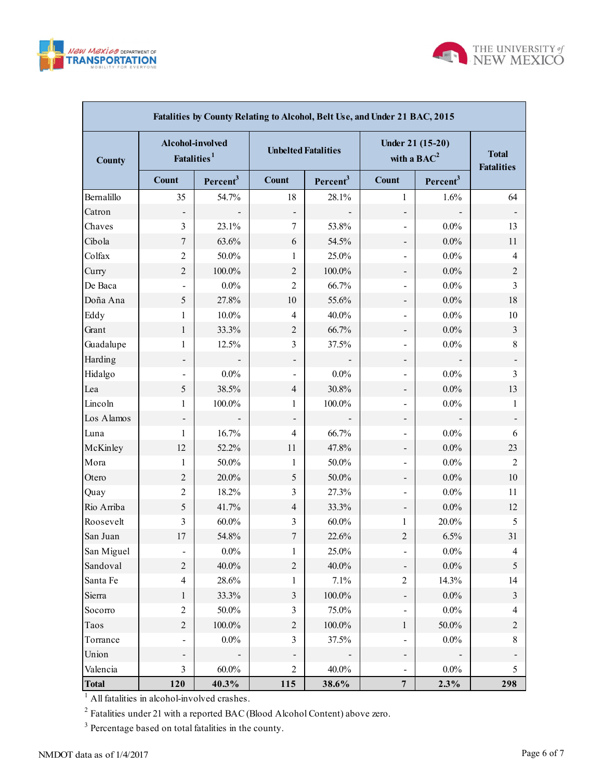



| Fatalities by County Relating to Alcohol, Belt Use, and Under 21 BAC, 2015 |                                             |                      |                            |                      |                                   |                                   |                |  |  |  |  |  |
|----------------------------------------------------------------------------|---------------------------------------------|----------------------|----------------------------|----------------------|-----------------------------------|-----------------------------------|----------------|--|--|--|--|--|
| <b>County</b>                                                              | Alcohol-involved<br>Fatalities <sup>1</sup> |                      | <b>Unbelted Fatalities</b> |                      | Under 21 (15-20)<br>with a $BAC2$ | <b>Total</b><br><b>Fatalities</b> |                |  |  |  |  |  |
|                                                                            | <b>Count</b>                                | Percent <sup>3</sup> | <b>Count</b>               | Percent <sup>3</sup> | Count                             | Percent <sup>3</sup>              |                |  |  |  |  |  |
| Bernalillo                                                                 | 35                                          | 54.7%                | 18                         | 28.1%                | 1                                 | 1.6%                              | 64             |  |  |  |  |  |
| Catron                                                                     |                                             |                      |                            |                      | $\qquad \qquad \blacksquare$      |                                   |                |  |  |  |  |  |
| Chaves                                                                     | 3                                           | 23.1%                | 7                          | 53.8%                | $\overline{\phantom{a}}$          | $0.0\%$                           | 13             |  |  |  |  |  |
| Cibola                                                                     | $\tau$                                      | 63.6%                | 6                          | 54.5%                |                                   | $0.0\%$                           | 11             |  |  |  |  |  |
| Colfax                                                                     | $\overline{2}$                              | $50.0\%$             | 1                          | 25.0%                | $\qquad \qquad \blacksquare$      | $0.0\%$                           | 4              |  |  |  |  |  |
| Curry                                                                      | $\overline{2}$                              | 100.0%               | $\overline{2}$             | 100.0%               |                                   | $0.0\%$                           | $\overline{c}$ |  |  |  |  |  |
| De Baca                                                                    |                                             | $0.0\%$              | $\overline{2}$             | 66.7%                | $\overline{\phantom{a}}$          | $0.0\%$                           | 3              |  |  |  |  |  |
| Doña Ana                                                                   | 5                                           | 27.8%                | 10                         | 55.6%                |                                   | $0.0\%$                           | 18             |  |  |  |  |  |
| Eddy                                                                       | 1                                           | $10.0\%$             | 4                          | $40.0\%$             | $\overline{\phantom{a}}$          | $0.0\%$                           | 10             |  |  |  |  |  |
| Grant                                                                      | $\mathbf{1}$                                | 33.3%                | $\overline{2}$             | 66.7%                |                                   | $0.0\%$                           | $\mathfrak{Z}$ |  |  |  |  |  |
| Guadalupe                                                                  | 1                                           | 12.5%                | 3                          | 37.5%                | $\overline{\phantom{a}}$          | $0.0\%$                           | $\,8\,$        |  |  |  |  |  |
| Harding                                                                    |                                             |                      |                            |                      |                                   |                                   |                |  |  |  |  |  |
| Hidalgo                                                                    |                                             | $0.0\%$              |                            | $0.0\%$              | $\overline{\phantom{a}}$          | $0.0\%$                           | 3              |  |  |  |  |  |
| Lea                                                                        | 5                                           | 38.5%                | $\overline{4}$             | 30.8%                |                                   | $0.0\%$                           | 13             |  |  |  |  |  |
| Lincoln                                                                    | 1                                           | 100.0%               | 1                          | 100.0%               | $\overline{\phantom{a}}$          | $0.0\%$                           | 1              |  |  |  |  |  |
| Los Alamos                                                                 |                                             |                      |                            |                      |                                   |                                   |                |  |  |  |  |  |
| Luna                                                                       | 1                                           | 16.7%                | $\overline{4}$             | 66.7%                | $\overline{\phantom{a}}$          | $0.0\%$                           | 6              |  |  |  |  |  |
| McKinley                                                                   | 12                                          | 52.2%                | 11                         | 47.8%                |                                   | 0.0%                              | 23             |  |  |  |  |  |
| Mora                                                                       | 1                                           | 50.0%                | 1                          | 50.0%                | $\overline{\phantom{a}}$          | $0.0\%$                           | 2              |  |  |  |  |  |
| Otero                                                                      | $\overline{2}$                              | 20.0%                | 5                          | 50.0%                | $\qquad \qquad \blacksquare$      | 0.0%                              | 10             |  |  |  |  |  |
| Quay                                                                       | $\overline{c}$                              | 18.2%                | 3                          | 27.3%                | $\overline{\phantom{a}}$          | $0.0\%$                           | 11             |  |  |  |  |  |
| Rio Arriba                                                                 | 5                                           | 41.7%                | $\overline{4}$             | 33.3%                | $\overline{\phantom{a}}$          | $0.0\%$                           | 12             |  |  |  |  |  |
| Roosevelt                                                                  | 3                                           | $60.0\%$             | 3                          | $60.0\%$             | 1                                 | 20.0%                             | 5              |  |  |  |  |  |
| San Juan                                                                   | 17                                          | 54.8%                | 7                          | 22.6%                | $\overline{2}$                    | 6.5%                              | 31             |  |  |  |  |  |
| San Miguel                                                                 |                                             | $0.0\%$              | 1                          | 25.0%                |                                   | $0.0\%$                           | 4              |  |  |  |  |  |
| Sandoval                                                                   | $\overline{c}$                              | 40.0%                | $\overline{2}$             | 40.0%                | $\qquad \qquad \blacksquare$      | $0.0\%$                           | 5              |  |  |  |  |  |
| Santa Fe                                                                   | $\overline{4}$                              | 28.6%                | 1                          | 7.1%                 | $\overline{2}$                    | 14.3%                             | 14             |  |  |  |  |  |
| Sierra                                                                     | $\mathbf{1}$                                | 33.3%                | $\mathfrak{Z}$             | $100.0\%$            | $\overline{\phantom{a}}$          | $0.0\%$                           | $\mathfrak{Z}$ |  |  |  |  |  |
| Socorro                                                                    | $\overline{2}$                              | $50.0\%$             | $\mathfrak{Z}$             | 75.0%                | $\qquad \qquad \blacksquare$      | $0.0\%$                           | 4              |  |  |  |  |  |
| Taos                                                                       | $\overline{c}$                              | 100.0%               | $\overline{2}$             | $100.0\%$            | $\mathbf{1}$                      | 50.0%                             | $\overline{c}$ |  |  |  |  |  |
| Torrance                                                                   |                                             | $0.0\%$              | $\overline{3}$             | 37.5%                | $\blacksquare$                    | $0.0\%$                           | 8              |  |  |  |  |  |
| Union                                                                      |                                             |                      |                            |                      |                                   |                                   |                |  |  |  |  |  |
| Valencia                                                                   | $\mathfrak{Z}$                              | $60.0\%$             | $\mathfrak{2}$             | 40.0%                | $\blacksquare$                    | $0.0\%$                           | 5              |  |  |  |  |  |
| <b>Total</b>                                                               | 120                                         | 40.3%                | 115                        | 38.6%                | $\overline{7}$                    | 2.3%                              | 298            |  |  |  |  |  |

 $2^2$  Fatalities under 21 with a reported BAC (Blood Alcohol Content) above zero.

<sup>3</sup> Percentage based on total fatalities in the county.